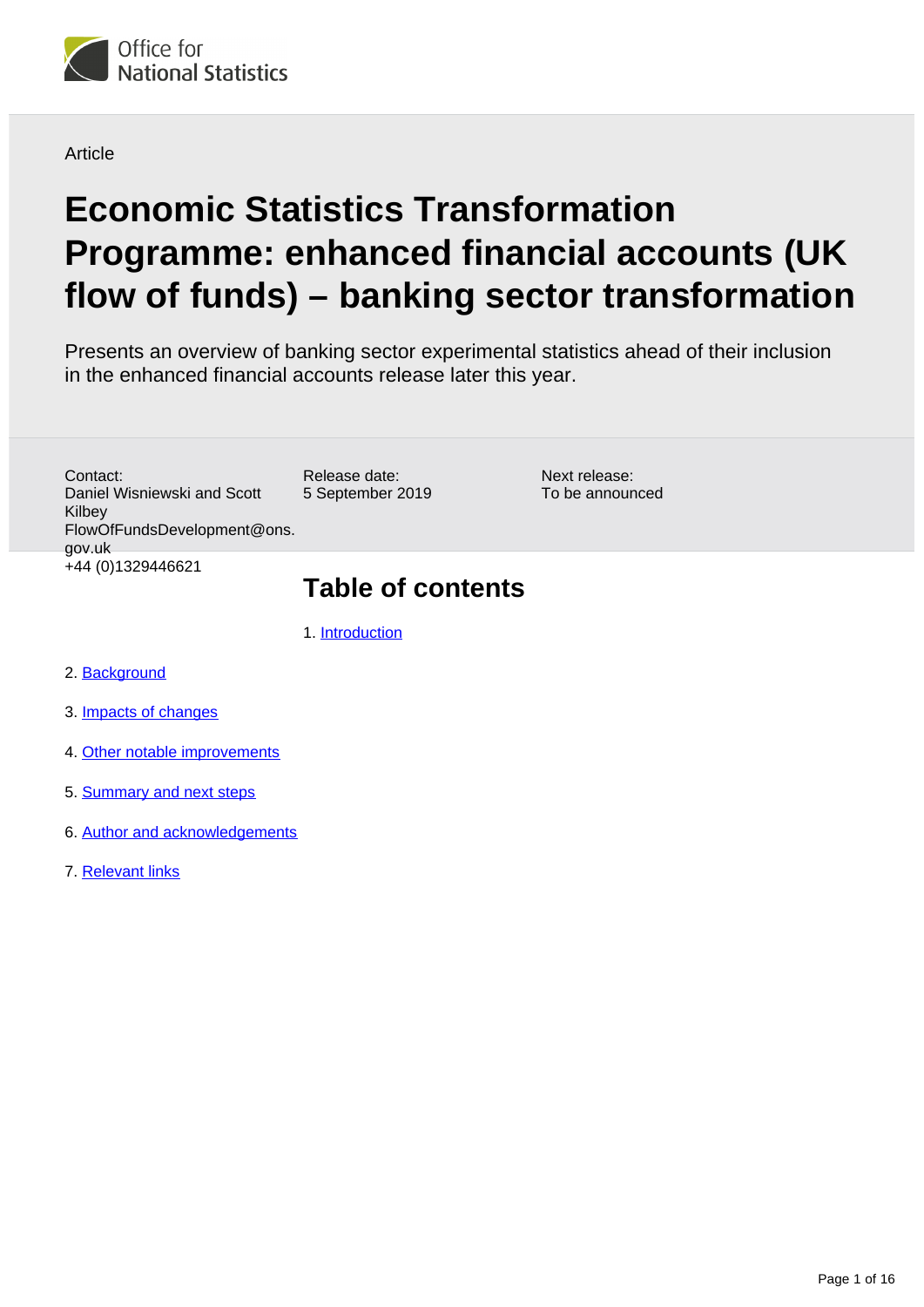

**Article** 

# **Economic Statistics Transformation Programme: enhanced financial accounts (UK flow of funds) – banking sector transformation**

Presents an overview of banking sector experimental statistics ahead of their inclusion in the enhanced financial accounts release later this year.

Contact: Daniel Wisniewski and Scott Kilbey FlowOfFundsDevelopment@ons. gov.uk +44 (0)1329446621

#### Release date: 5 September 2019

Next release: To be announced

# **Table of contents**

1. [Introduction](#page-1-0)

- 2. [Background](#page-1-1)
- 3. [Impacts of changes](#page-2-0)
- 4. [Other notable improvements](#page-10-0)
- 5. [Summary and next steps](#page-12-0)
- 6. [Author and acknowledgements](#page-12-1)
- 7. [Relevant links](#page-12-2)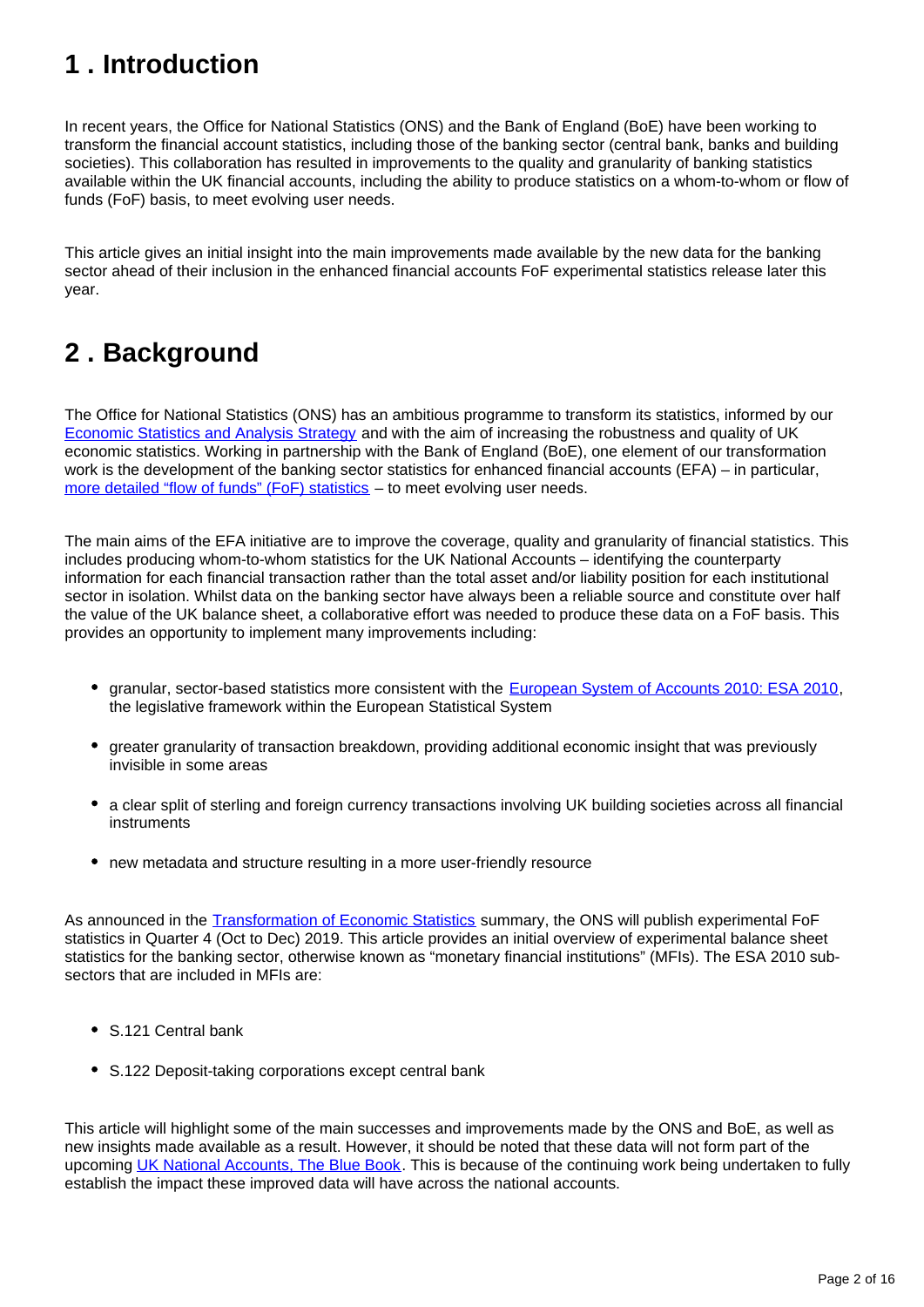# <span id="page-1-0"></span>**1 . Introduction**

In recent years, the Office for National Statistics (ONS) and the Bank of England (BoE) have been working to transform the financial account statistics, including those of the banking sector (central bank, banks and building societies). This collaboration has resulted in improvements to the quality and granularity of banking statistics available within the UK financial accounts, including the ability to produce statistics on a whom-to-whom or flow of funds (FoF) basis, to meet evolving user needs.

This article gives an initial insight into the main improvements made available by the new data for the banking sector ahead of their inclusion in the enhanced financial accounts FoF experimental statistics release later this year.

# <span id="page-1-1"></span>**2 . Background**

The Office for National Statistics (ONS) has an ambitious programme to transform its statistics, informed by our [Economic Statistics and Analysis Strategy](https://www.ons.gov.uk/methodology/classificationsandstandards/economicstatisticsclassifications/economicstatisticsandanalysisstrategy) and with the aim of increasing the robustness and quality of UK economic statistics. Working in partnership with the Bank of England (BoE), one element of our transformation work is the development of the banking sector statistics for enhanced financial accounts (EFA) – in particular, [more detailed "flow of funds" \(FoF\) statistics](https://www.ons.gov.uk/economy/nationalaccounts/uksectoraccounts/articles/economicstatisticstransformationprogramme/developingtheenhancedfinancialaccountsukflowoffunds) – to meet evolving user needs.

The main aims of the EFA initiative are to improve the coverage, quality and granularity of financial statistics. This includes producing whom-to-whom statistics for the UK National Accounts – identifying the counterparty information for each financial transaction rather than the total asset and/or liability position for each institutional sector in isolation. Whilst data on the banking sector have always been a reliable source and constitute over half the value of the UK balance sheet, a collaborative effort was needed to produce these data on a FoF basis. This provides an opportunity to implement many improvements including:

- granular, sector-based statistics more consistent with the [European System of Accounts 2010: ESA 2010,](http://ec.europa.eu/eurostat/web/esa-2010) the legislative framework within the European Statistical System
- greater granularity of transaction breakdown, providing additional economic insight that was previously invisible in some areas
- a clear split of sterling and foreign currency transactions involving UK building societies across all financial instruments
- new metadata and structure resulting in a more user-friendly resource

As announced in the [Transformation of Economic Statistics](https://www.ons.gov.uk/economy/nationalaccounts/uksectoraccounts/compendium/economicreview/october2018/transformationofeconomicstatistics) summary, the ONS will publish experimental FoF statistics in Quarter 4 (Oct to Dec) 2019. This article provides an initial overview of experimental balance sheet statistics for the banking sector, otherwise known as "monetary financial institutions" (MFIs). The ESA 2010 subsectors that are included in MFIs are:

- S.121 Central bank
- S.122 Deposit-taking corporations except central bank

This article will highlight some of the main successes and improvements made by the ONS and BoE, as well as new insights made available as a result. However, it should be noted that these data will not form part of the upcoming [UK National Accounts, The Blue Book.](https://www.ons.gov.uk/releases/uknationalaccountsthebluebook2019) This is because of the continuing work being undertaken to fully establish the impact these improved data will have across the national accounts.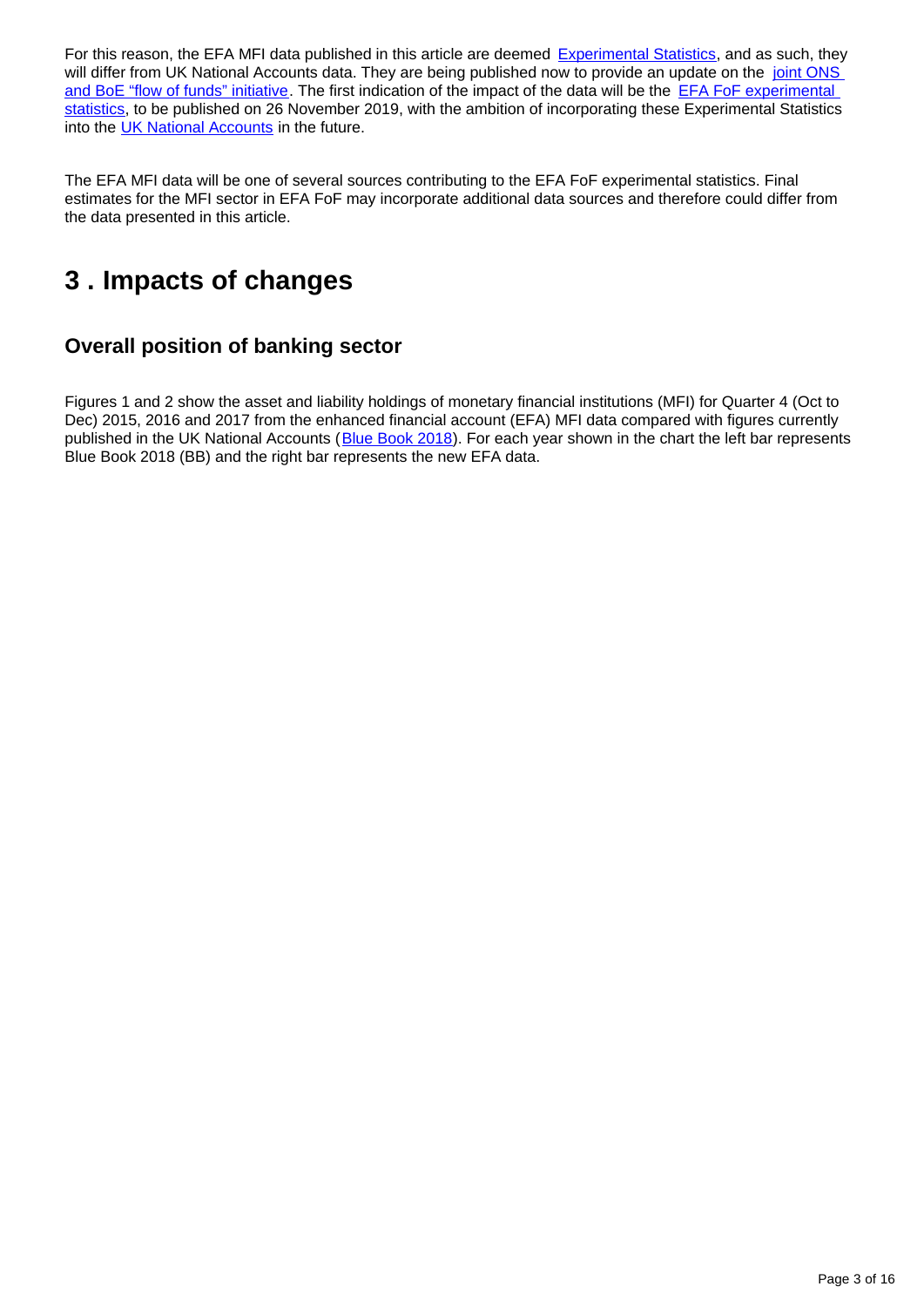For this reason, the EFA MFI data published in this article are deemed [Experimental Statistics,](https://www.ons.gov.uk/methodology/methodologytopicsandstatisticalconcepts/guidetoexperimentalstatistics) and as such, they will differ from UK National Accounts data. They are being published now to provide an update on the joint ONS [and BoE "flow of funds" initiative](https://webarchive.nationalarchives.gov.uk/20160106021630/http:/www.ons.gov.uk/ons/guide-method/method-quality/specific/economy/national-accounts/changes-to-national-accounts/flow-of-funds--fof-/index.html). The first indication of the impact of the data will be the **EFA FoF experimental** [statistics,](https://www.ons.gov.uk/releases/econonicstatisticsprogrammeenhancedfinancialaccountsukflowoffunds2019experimentalstatisticsmatrix) to be published on 26 November 2019, with the ambition of incorporating these Experimental Statistics into the [UK National Accounts](https://www.ons.gov.uk/economy/grossdomesticproductgdp/compendium/unitedkingdomnationalaccountsthebluebook/2018) in the future.

The EFA MFI data will be one of several sources contributing to the EFA FoF experimental statistics. Final estimates for the MFI sector in EFA FoF may incorporate additional data sources and therefore could differ from the data presented in this article.

# <span id="page-2-0"></span>**3 . Impacts of changes**

### **Overall position of banking sector**

Figures 1 and 2 show the asset and liability holdings of monetary financial institutions (MFI) for Quarter 4 (Oct to Dec) 2015, 2016 and 2017 from the enhanced financial account (EFA) MFI data compared with figures currently published in the UK National Accounts ([Blue Book 2018\)](https://www.ons.gov.uk/releases/unitedkingdomnationalaccountsbluebook2018). For each year shown in the chart the left bar represents Blue Book 2018 (BB) and the right bar represents the new EFA data.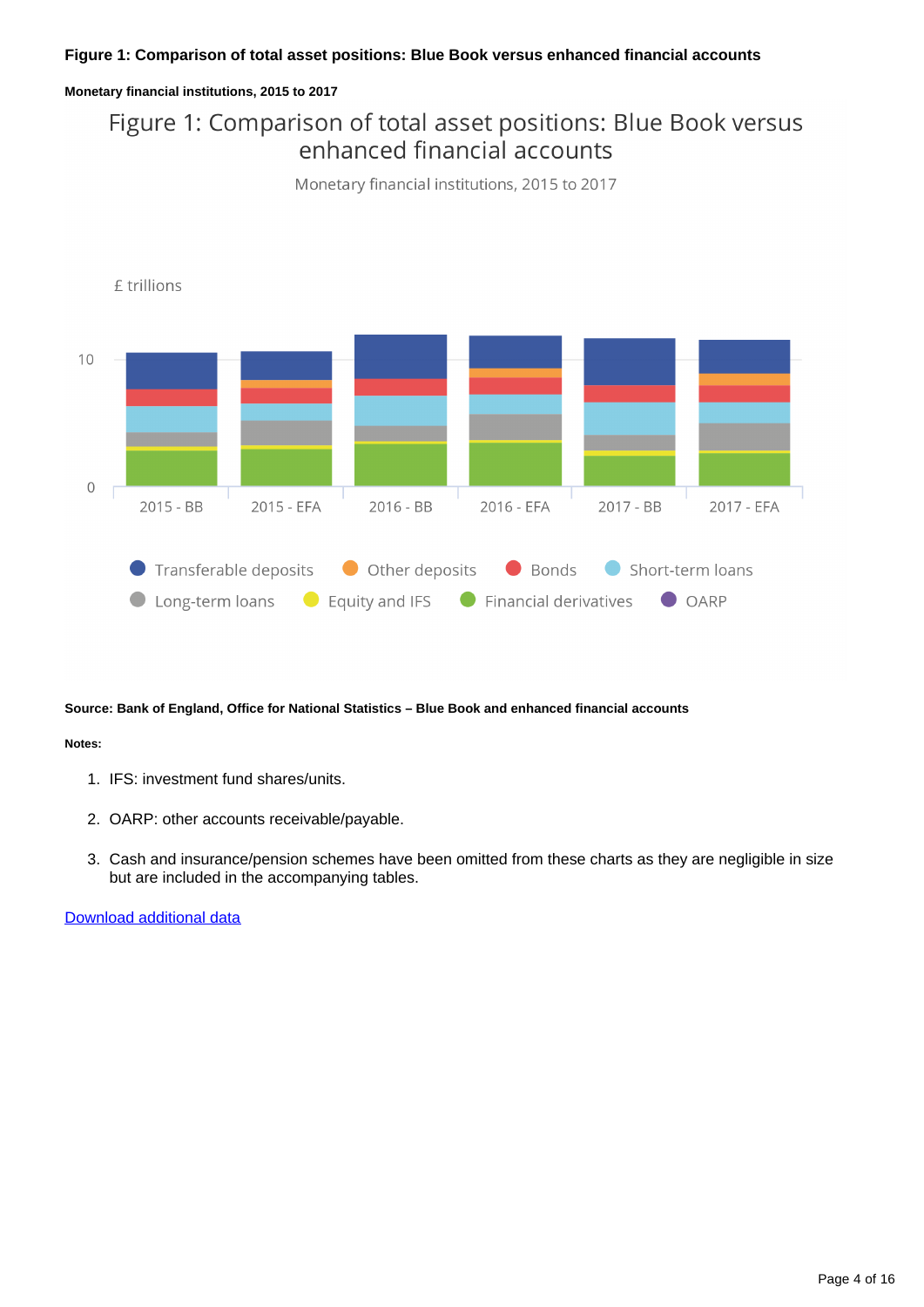#### **Figure 1: Comparison of total asset positions: Blue Book versus enhanced financial accounts**

#### **Monetary financial institutions, 2015 to 2017**

## Figure 1: Comparison of total asset positions: Blue Book versus enhanced financial accounts





**Source: Bank of England, Office for National Statistics – Blue Book and enhanced financial accounts**

#### **Notes:**

- 1. IFS: investment fund shares/units.
- 2. OARP: other accounts receivable/payable.
- 3. Cash and insurance/pension schemes have been omitted from these charts as they are negligible in size but are included in the accompanying tables.

[Download additional data](https://www.ons.gov.uk/visualisations/dvc4001/figure1.xlsx)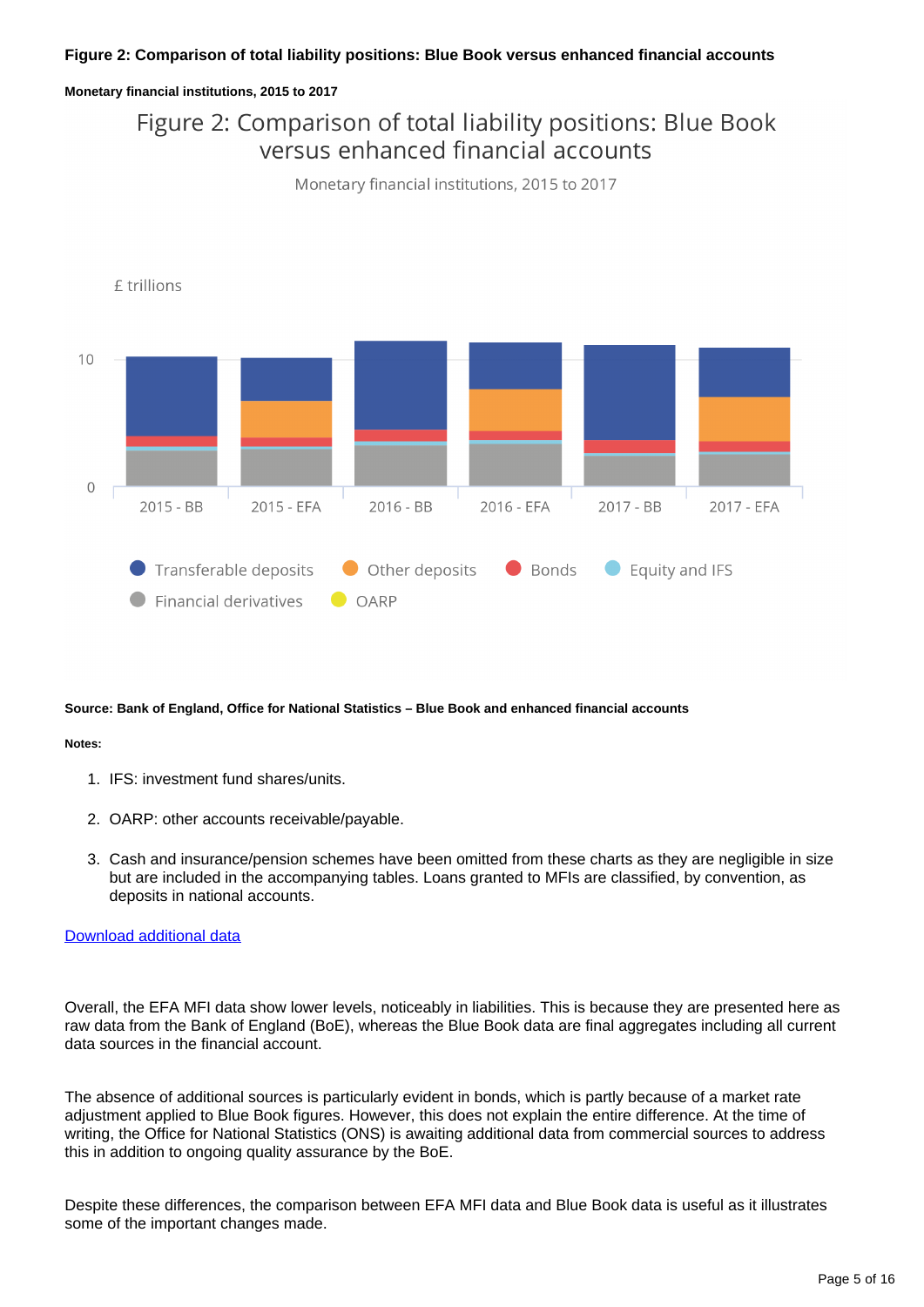#### **Figure 2: Comparison of total liability positions: Blue Book versus enhanced financial accounts**

#### **Monetary financial institutions, 2015 to 2017**

## Figure 2: Comparison of total liability positions: Blue Book versus enhanced financial accounts





**Source: Bank of England, Office for National Statistics – Blue Book and enhanced financial accounts**

#### **Notes:**

- 1. IFS: investment fund shares/units.
- 2. OARP: other accounts receivable/payable.
- 3. Cash and insurance/pension schemes have been omitted from these charts as they are negligible in size but are included in the accompanying tables. Loans granted to MFIs are classified, by convention, as deposits in national accounts.

#### [Download additional data](https://www.ons.gov.uk/visualisations/dvc4001/figure2.xlsx)

Overall, the EFA MFI data show lower levels, noticeably in liabilities. This is because they are presented here as raw data from the Bank of England (BoE), whereas the Blue Book data are final aggregates including all current data sources in the financial account.

The absence of additional sources is particularly evident in bonds, which is partly because of a market rate adjustment applied to Blue Book figures. However, this does not explain the entire difference. At the time of writing, the Office for National Statistics (ONS) is awaiting additional data from commercial sources to address this in addition to ongoing quality assurance by the BoE.

Despite these differences, the comparison between EFA MFI data and Blue Book data is useful as it illustrates some of the important changes made.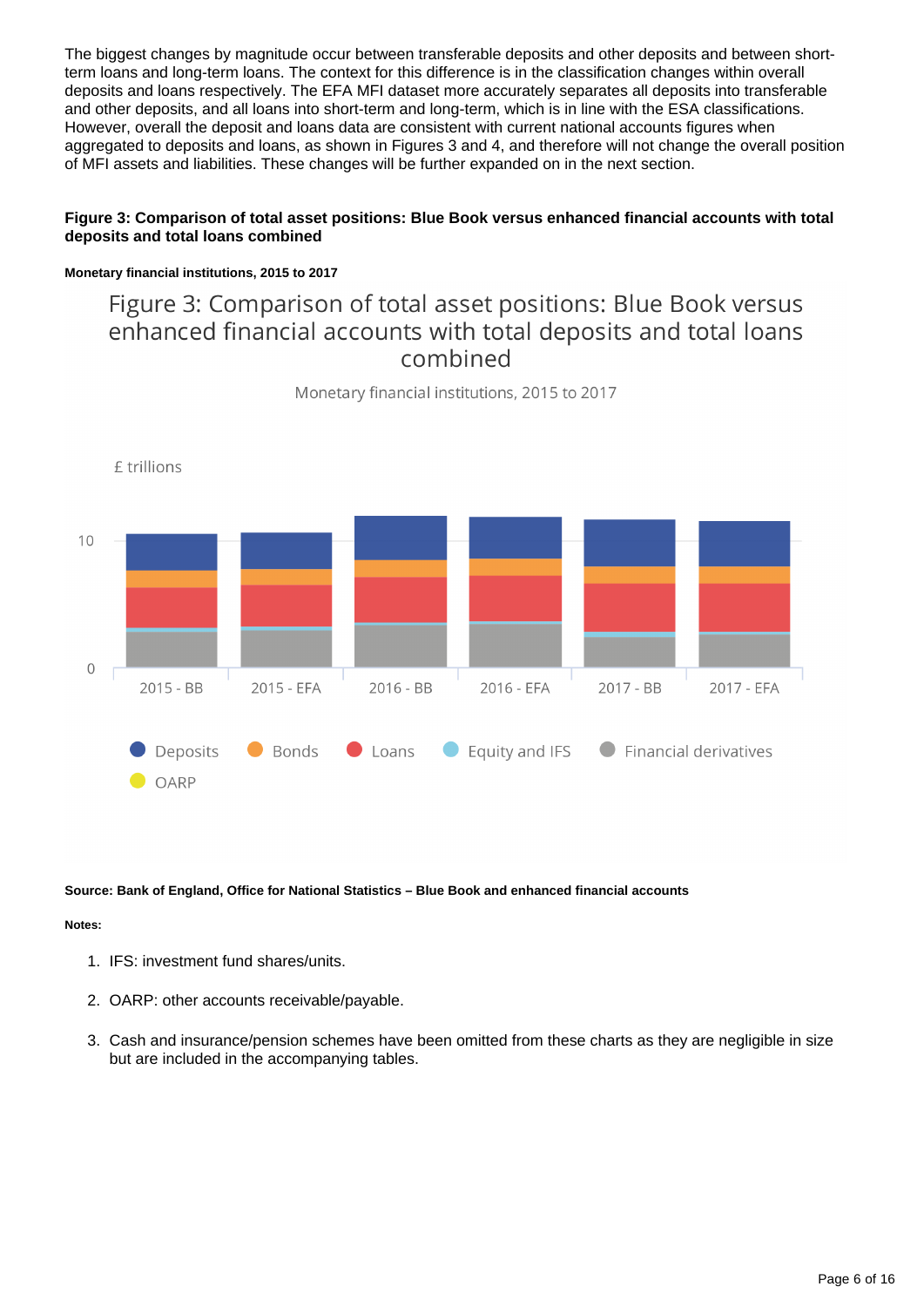The biggest changes by magnitude occur between transferable deposits and other deposits and between shortterm loans and long-term loans. The context for this difference is in the classification changes within overall deposits and loans respectively. The EFA MFI dataset more accurately separates all deposits into transferable and other deposits, and all loans into short-term and long-term, which is in line with the ESA classifications. However, overall the deposit and loans data are consistent with current national accounts figures when aggregated to deposits and loans, as shown in Figures 3 and 4, and therefore will not change the overall position of MFI assets and liabilities. These changes will be further expanded on in the next section.

#### **Figure 3: Comparison of total asset positions: Blue Book versus enhanced financial accounts with total deposits and total loans combined**

#### **Monetary financial institutions, 2015 to 2017**

### Figure 3: Comparison of total asset positions: Blue Book versus enhanced financial accounts with total deposits and total loans combined



Monetary financial institutions, 2015 to 2017

#### **Source: Bank of England, Office for National Statistics – Blue Book and enhanced financial accounts**

#### **Notes:**

- 1. IFS: investment fund shares/units.
- 2. OARP: other accounts receivable/payable.
- 3. Cash and insurance/pension schemes have been omitted from these charts as they are negligible in size but are included in the accompanying tables.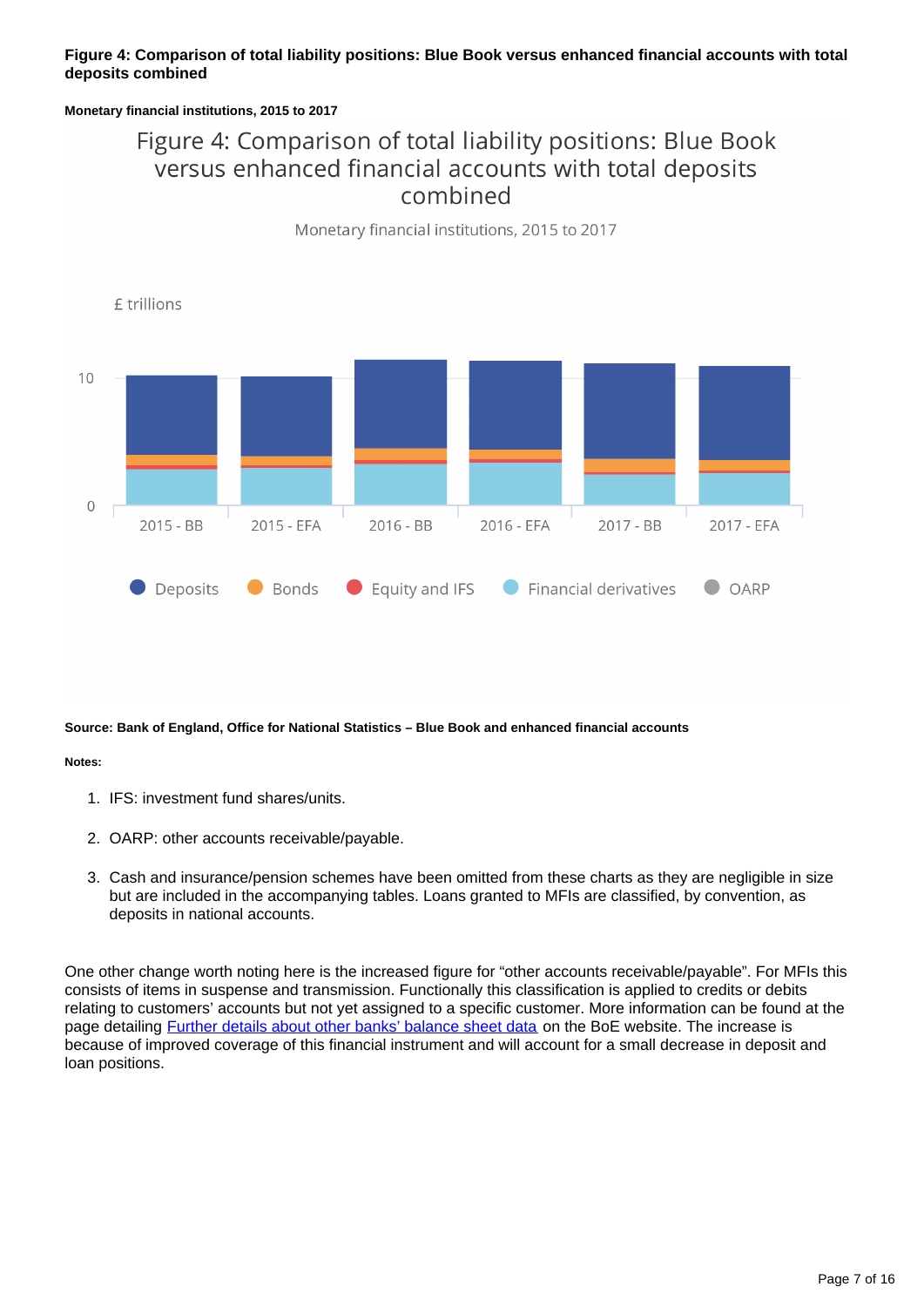#### **Figure 4: Comparison of total liability positions: Blue Book versus enhanced financial accounts with total deposits combined**

#### **Monetary financial institutions, 2015 to 2017**

## Figure 4: Comparison of total liability positions: Blue Book versus enhanced financial accounts with total deposits combined

Monetary financial institutions, 2015 to 2017



**Source: Bank of England, Office for National Statistics – Blue Book and enhanced financial accounts**

#### **Notes:**

- 1. IFS: investment fund shares/units.
- 2. OARP: other accounts receivable/payable.
- 3. Cash and insurance/pension schemes have been omitted from these charts as they are negligible in size but are included in the accompanying tables. Loans granted to MFIs are classified, by convention, as deposits in national accounts.

One other change worth noting here is the increased figure for "other accounts receivable/payable". For MFIs this consists of items in suspense and transmission. Functionally this classification is applied to credits or debits relating to customers' accounts but not yet assigned to a specific customer. More information can be found at the page detailing **[Further details about other banks' balance sheet data](https://www.bankofengland.co.uk/statistics/details/further-details-about-other-banks-balance-sheet-until-december-2009-data)** on the BoE website. The increase is because of improved coverage of this financial instrument and will account for a small decrease in deposit and loan positions.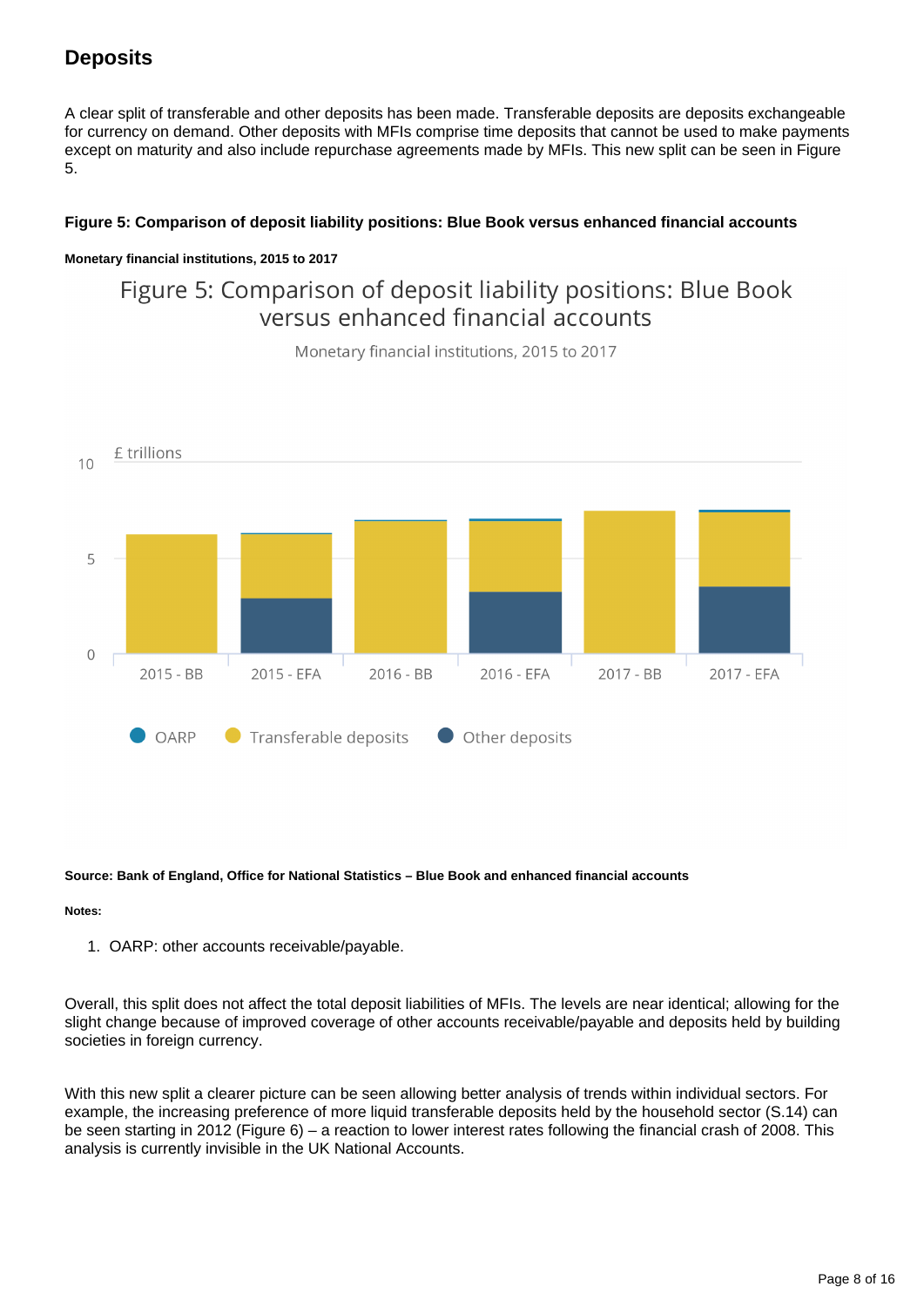### **Deposits**

A clear split of transferable and other deposits has been made. Transferable deposits are deposits exchangeable for currency on demand. Other deposits with MFIs comprise time deposits that cannot be used to make payments except on maturity and also include repurchase agreements made by MFIs. This new split can be seen in Figure 5.

#### **Figure 5: Comparison of deposit liability positions: Blue Book versus enhanced financial accounts**

#### **Monetary financial institutions, 2015 to 2017**

Figure 5: Comparison of deposit liability positions: Blue Book versus enhanced financial accounts



Monetary financial institutions, 2015 to 2017

#### **Source: Bank of England, Office for National Statistics – Blue Book and enhanced financial accounts**

#### **Notes:**

1. OARP: other accounts receivable/payable.

Overall, this split does not affect the total deposit liabilities of MFIs. The levels are near identical; allowing for the slight change because of improved coverage of other accounts receivable/payable and deposits held by building societies in foreign currency.

With this new split a clearer picture can be seen allowing better analysis of trends within individual sectors. For example, the increasing preference of more liquid transferable deposits held by the household sector (S.14) can be seen starting in 2012 (Figure 6) – a reaction to lower interest rates following the financial crash of 2008. This analysis is currently invisible in the UK National Accounts.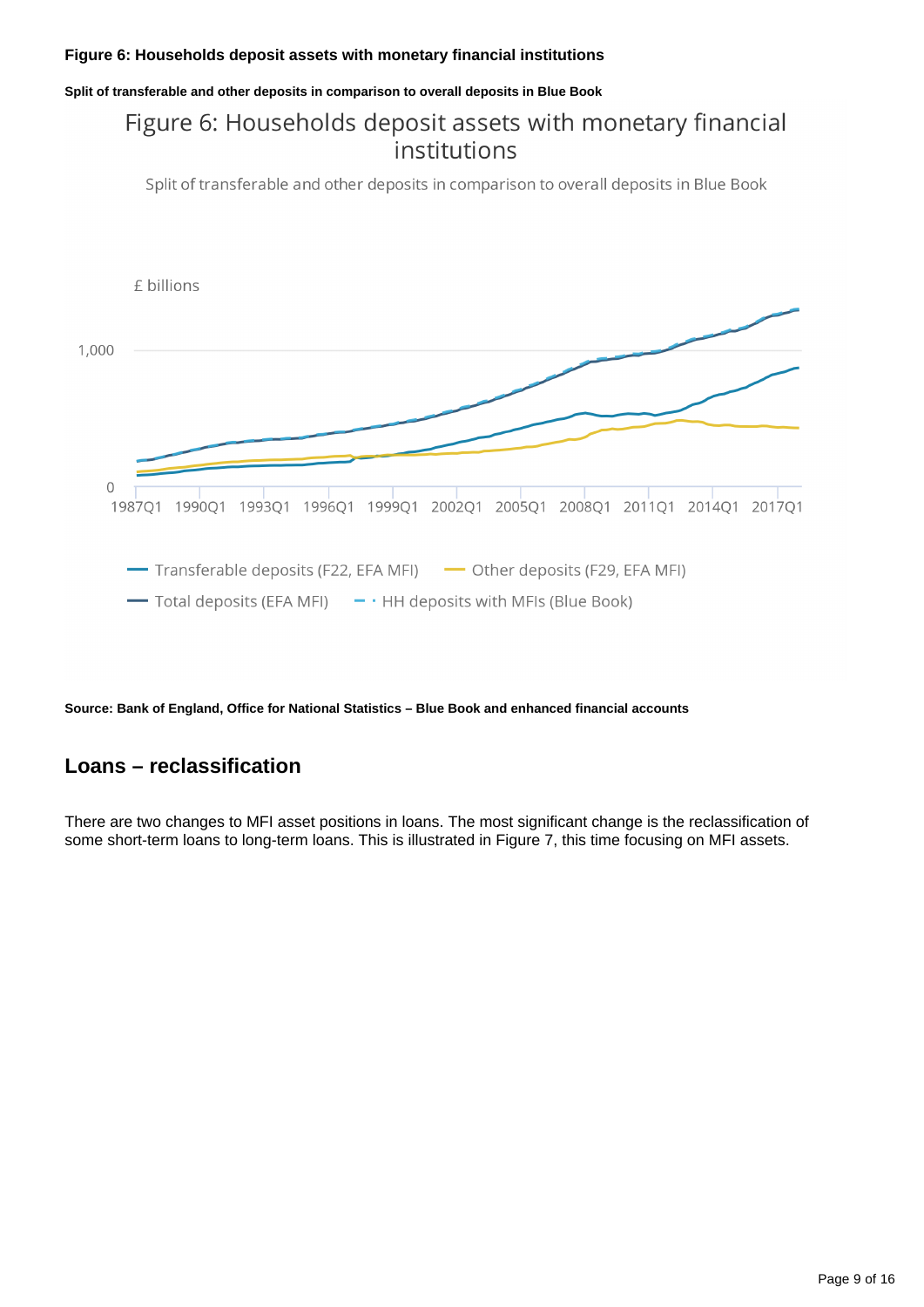#### **Figure 6: Households deposit assets with monetary financial institutions**

**Split of transferable and other deposits in comparison to overall deposits in Blue Book**

## Figure 6: Households deposit assets with monetary financial institutions

Split of transferable and other deposits in comparison to overall deposits in Blue Book



**Source: Bank of England, Office for National Statistics – Blue Book and enhanced financial accounts**

### **Loans – reclassification**

There are two changes to MFI asset positions in loans. The most significant change is the reclassification of some short-term loans to long-term loans. This is illustrated in Figure 7, this time focusing on MFI assets.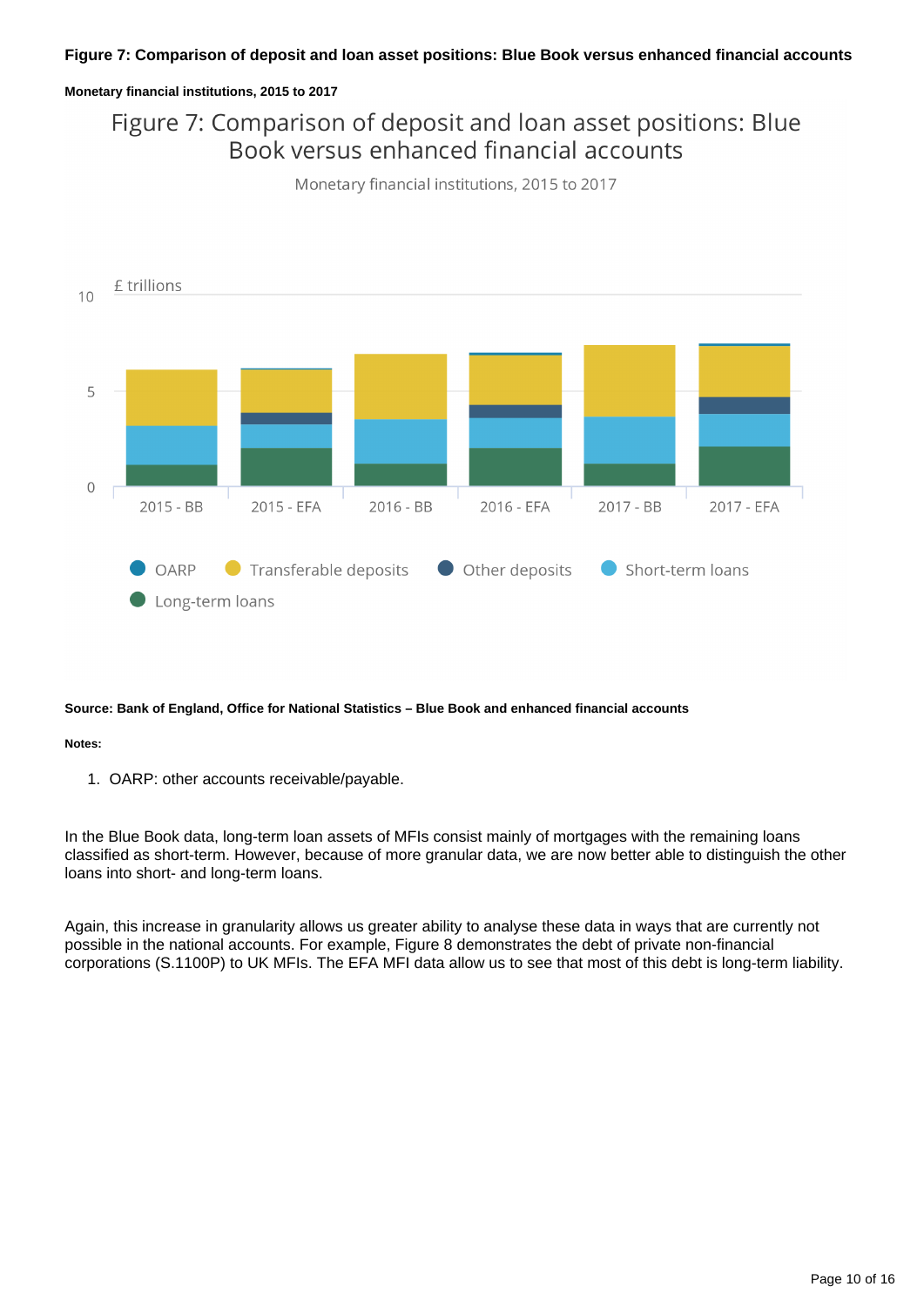#### **Figure 7: Comparison of deposit and loan asset positions: Blue Book versus enhanced financial accounts**

#### **Monetary financial institutions, 2015 to 2017**

## Figure 7: Comparison of deposit and loan asset positions: Blue Book versus enhanced financial accounts



Monetary financial institutions, 2015 to 2017

#### **Source: Bank of England, Office for National Statistics – Blue Book and enhanced financial accounts**

#### **Notes:**

1. OARP: other accounts receivable/payable.

In the Blue Book data, long-term loan assets of MFIs consist mainly of mortgages with the remaining loans classified as short-term. However, because of more granular data, we are now better able to distinguish the other loans into short- and long-term loans.

Again, this increase in granularity allows us greater ability to analyse these data in ways that are currently not possible in the national accounts. For example, Figure 8 demonstrates the debt of private non-financial corporations (S.1100P) to UK MFIs. The EFA MFI data allow us to see that most of this debt is long-term liability.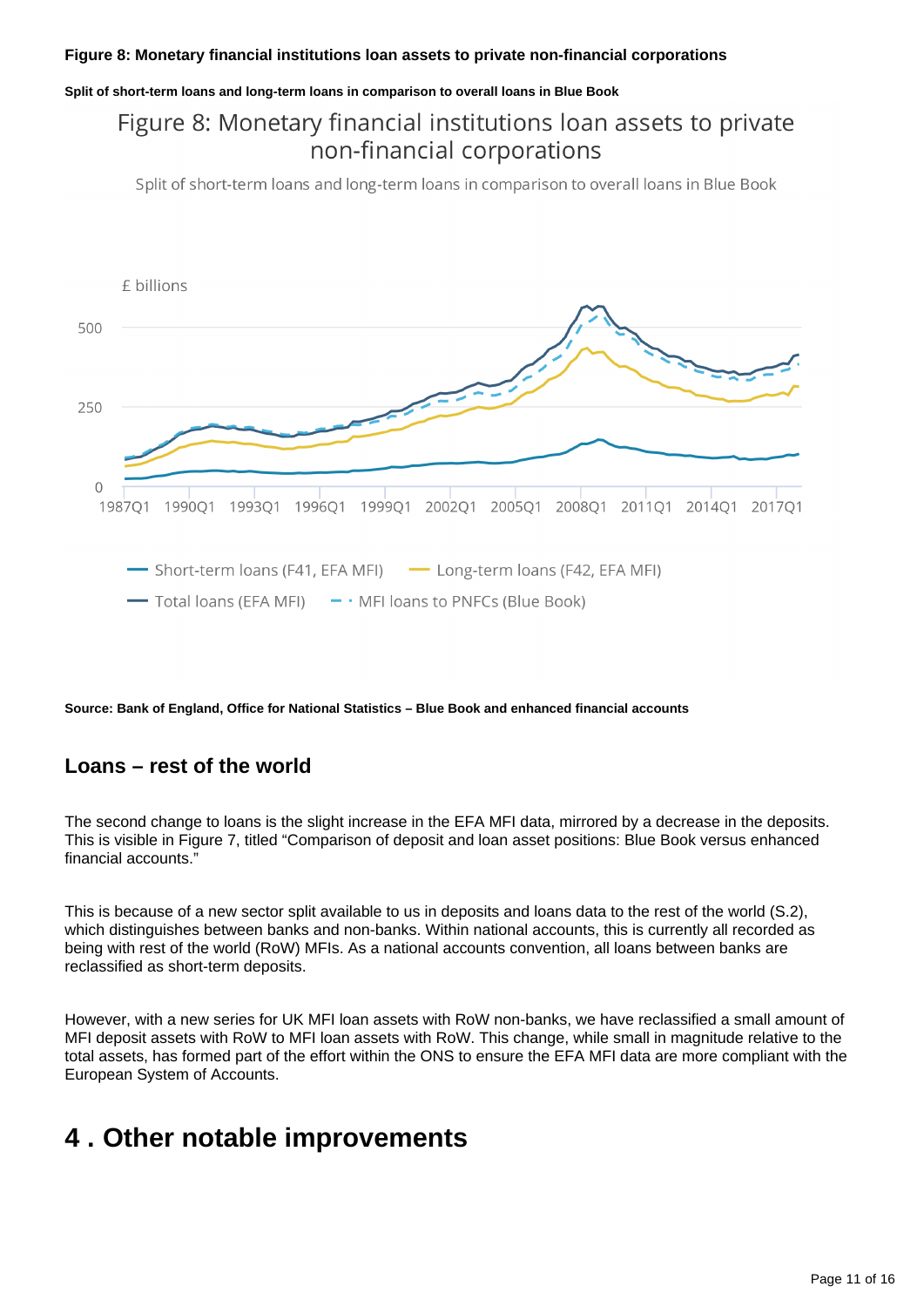#### **Figure 8: Monetary financial institutions loan assets to private non-financial corporations**

#### **Split of short-term loans and long-term loans in comparison to overall loans in Blue Book**

## Figure 8: Monetary financial institutions loan assets to private non-financial corporations

Split of short-term loans and long-term loans in comparison to overall loans in Blue Book



**Source: Bank of England, Office for National Statistics – Blue Book and enhanced financial accounts**

### **Loans – rest of the world**

The second change to loans is the slight increase in the EFA MFI data, mirrored by a decrease in the deposits. This is visible in Figure 7, titled "Comparison of deposit and loan asset positions: Blue Book versus enhanced financial accounts."

This is because of a new sector split available to us in deposits and loans data to the rest of the world (S.2), which distinguishes between banks and non-banks. Within national accounts, this is currently all recorded as being with rest of the world (RoW) MFIs. As a national accounts convention, all loans between banks are reclassified as short-term deposits.

However, with a new series for UK MFI loan assets with RoW non-banks, we have reclassified a small amount of MFI deposit assets with RoW to MFI loan assets with RoW. This change, while small in magnitude relative to the total assets, has formed part of the effort within the ONS to ensure the EFA MFI data are more compliant with the European System of Accounts.

## <span id="page-10-0"></span>**4 . Other notable improvements**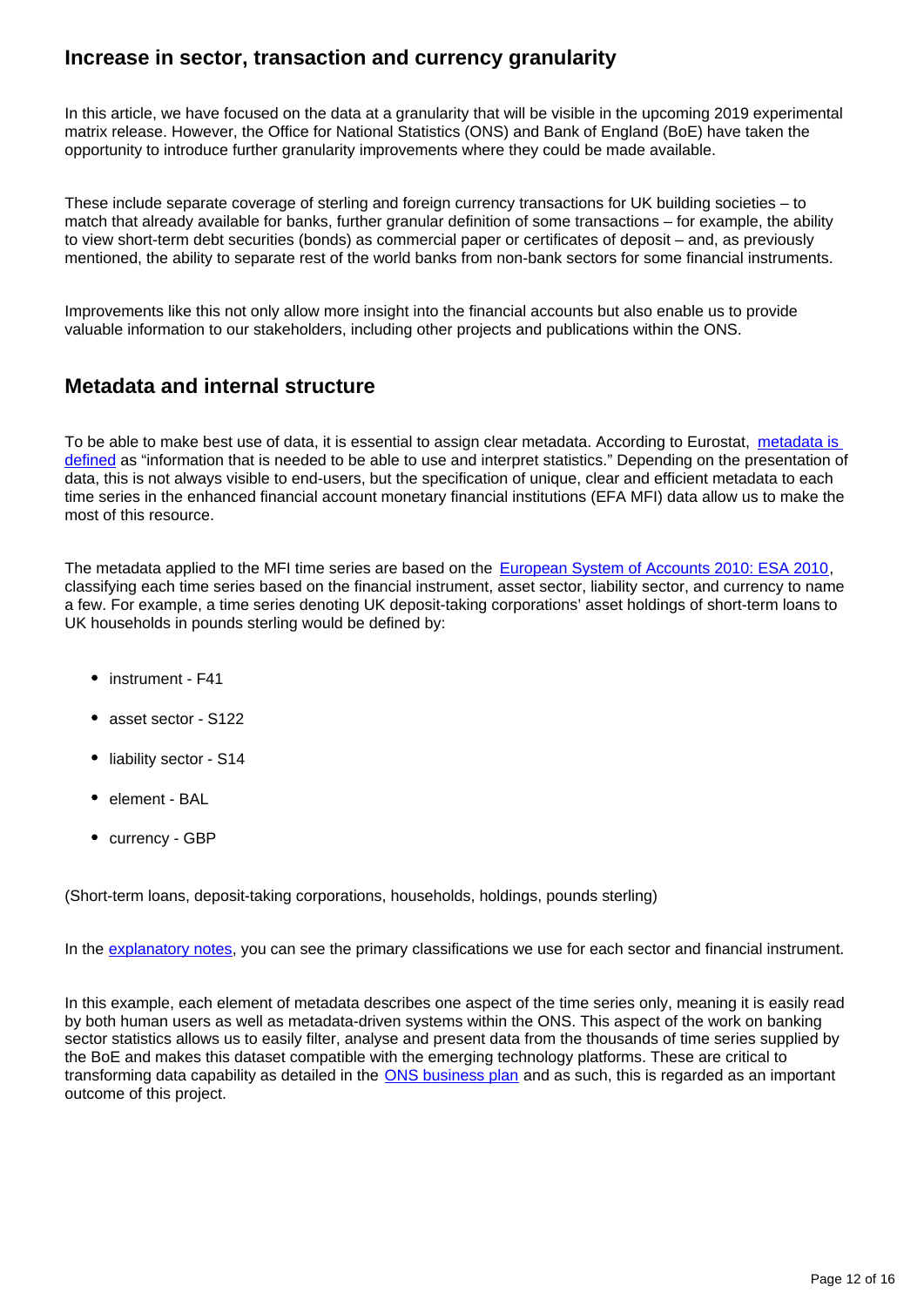### **Increase in sector, transaction and currency granularity**

In this article, we have focused on the data at a granularity that will be visible in the upcoming 2019 experimental matrix release. However, the Office for National Statistics (ONS) and Bank of England (BoE) have taken the opportunity to introduce further granularity improvements where they could be made available.

These include separate coverage of sterling and foreign currency transactions for UK building societies – to match that already available for banks, further granular definition of some transactions – for example, the ability to view short-term debt securities (bonds) as commercial paper or certificates of deposit – and, as previously mentioned, the ability to separate rest of the world banks from non-bank sectors for some financial instruments.

Improvements like this not only allow more insight into the financial accounts but also enable us to provide valuable information to our stakeholders, including other projects and publications within the ONS.

### **Metadata and internal structure**

To be able to make best use of data, it is essential to assign clear metadata. According to Eurostat, metadata is [defined](https://ec.europa.eu/eurostat/statistics-explained/index.php/Glossary:Metadata) as "information that is needed to be able to use and interpret statistics." Depending on the presentation of data, this is not always visible to end-users, but the specification of unique, clear and efficient metadata to each time series in the enhanced financial account monetary financial institutions (EFA MFI) data allow us to make the most of this resource.

The metadata applied to the MFI time series are based on the [European System of Accounts 2010: ESA 2010](http://ec.europa.eu/eurostat/web/esa-2010), classifying each time series based on the financial instrument, asset sector, liability sector, and currency to name a few. For example, a time series denoting UK deposit-taking corporations' asset holdings of short-term loans to UK households in pounds sterling would be defined by:

- instrument F41
- asset sector S122
- liability sector S14
- element BAL
- currency GBP

(Short-term loans, deposit-taking corporations, households, holdings, pounds sterling)

In the [explanatory notes,](https://www.ons.gov.uk/economy/nationalaccounts/uksectoraccounts/articles/economicstatisticstransformationprogramme/enhancedfinancialaccountsukflowoffundsbankingsectortransformation#relevant-links) you can see the primary classifications we use for each sector and financial instrument.

In this example, each element of metadata describes one aspect of the time series only, meaning it is easily read by both human users as well as metadata-driven systems within the ONS. This aspect of the work on banking sector statistics allows us to easily filter, analyse and present data from the thousands of time series supplied by the BoE and makes this dataset compatible with the emerging technology platforms. These are critical to transforming data capability as detailed in the **ONS business plan** and as such, this is regarded as an important outcome of this project.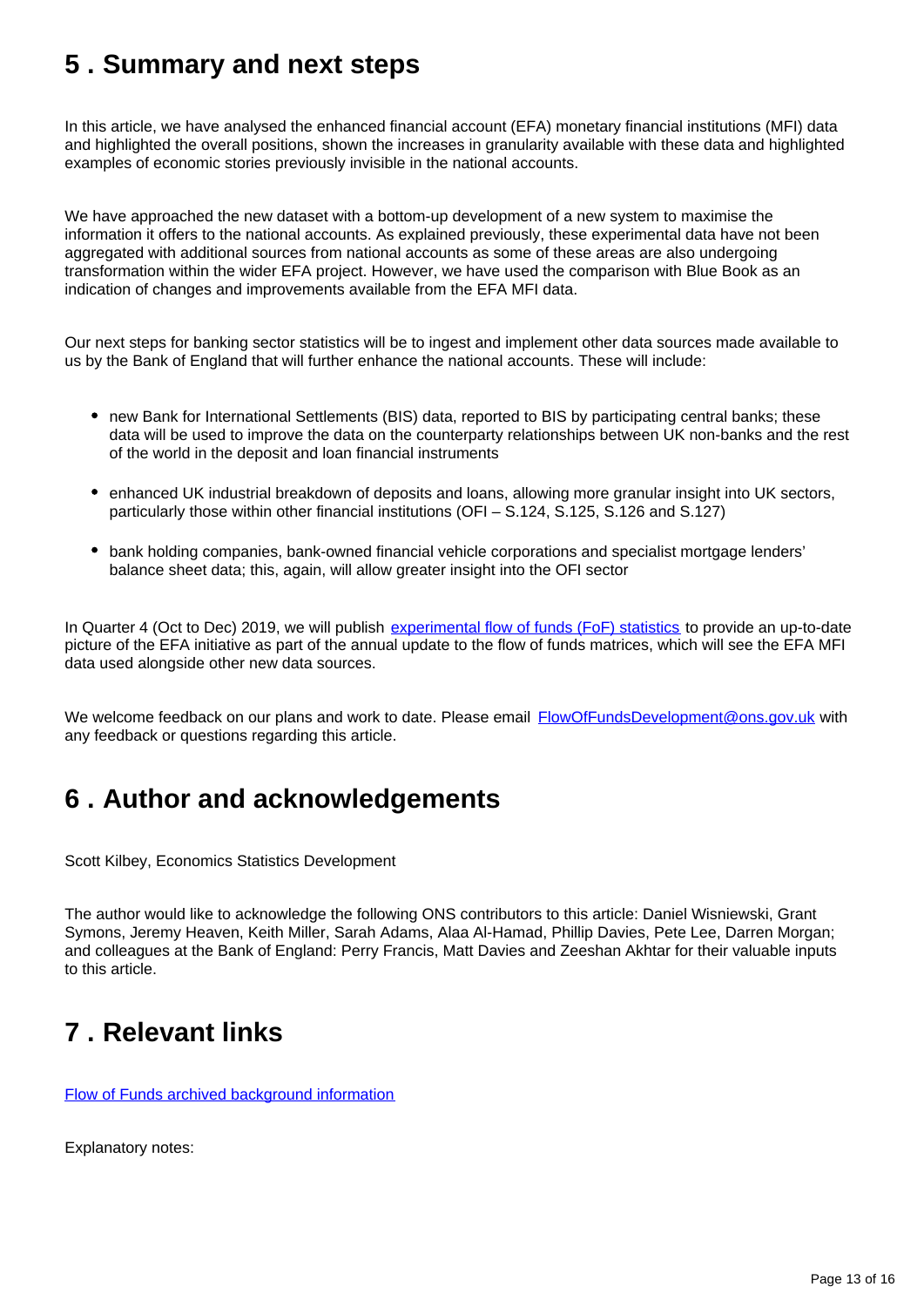# <span id="page-12-0"></span>**5 . Summary and next steps**

In this article, we have analysed the enhanced financial account (EFA) monetary financial institutions (MFI) data and highlighted the overall positions, shown the increases in granularity available with these data and highlighted examples of economic stories previously invisible in the national accounts.

We have approached the new dataset with a bottom-up development of a new system to maximise the information it offers to the national accounts. As explained previously, these experimental data have not been aggregated with additional sources from national accounts as some of these areas are also undergoing transformation within the wider EFA project. However, we have used the comparison with Blue Book as an indication of changes and improvements available from the EFA MFI data.

Our next steps for banking sector statistics will be to ingest and implement other data sources made available to us by the Bank of England that will further enhance the national accounts. These will include:

- new Bank for International Settlements (BIS) data, reported to BIS by participating central banks; these data will be used to improve the data on the counterparty relationships between UK non-banks and the rest of the world in the deposit and loan financial instruments
- enhanced UK industrial breakdown of deposits and loans, allowing more granular insight into UK sectors, particularly those within other financial institutions (OFI – S.124, S.125, S.126 and S.127)
- bank holding companies, bank-owned financial vehicle corporations and specialist mortgage lenders' balance sheet data; this, again, will allow greater insight into the OFI sector

In Quarter 4 (Oct to Dec) 2019, we will publish [experimental flow of funds \(FoF\) statistics](https://www.ons.gov.uk/releases/econonicstatisticsprogrammeenhancedfinancialaccountsukflowoffunds2019experimentalstatisticsmatrix) to provide an up-to-date picture of the EFA initiative as part of the annual update to the flow of funds matrices, which will see the EFA MFI data used alongside other new data sources.

We welcome feedback on our plans and work to date. Please email **FlowOfFundsDevelopment@ons.gov.uk** with any feedback or questions regarding this article.

# <span id="page-12-1"></span>**6 . Author and acknowledgements**

Scott Kilbey, Economics Statistics Development

The author would like to acknowledge the following ONS contributors to this article: Daniel Wisniewski, Grant Symons, Jeremy Heaven, Keith Miller, Sarah Adams, Alaa Al-Hamad, Phillip Davies, Pete Lee, Darren Morgan; and colleagues at the Bank of England: Perry Francis, Matt Davies and Zeeshan Akhtar for their valuable inputs to this article.

# <span id="page-12-2"></span>**7 . Relevant links**

[Flow of Funds archived background information](https://webarchive.nationalarchives.gov.uk/20160106021630/http:/www.ons.gov.uk/ons/guide-method/method-quality/specific/economy/national-accounts/changes-to-national-accounts/flow-of-funds--fof-/index.html)

Explanatory notes: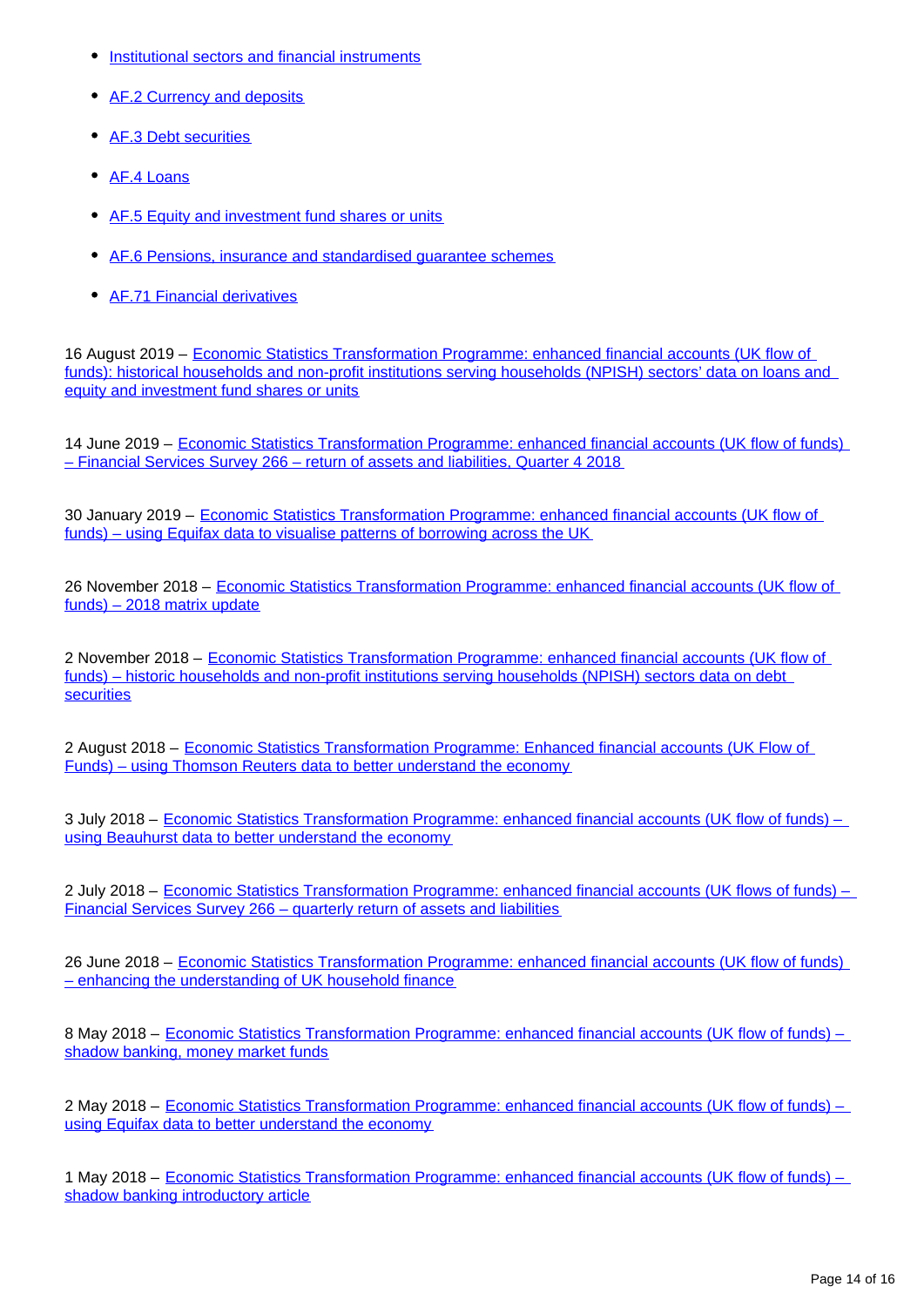- [Institutional sectors and financial instruments](https://www.ons.gov.uk/economy/nationalaccounts/uksectoraccounts/methodologies/economicstatisticstransformationprogrammeenhancedfinancialaccountsukflowoffundsinstitutionalsectorsandfinancialinstrumentsexplanatorynotes2018)
- [AF.2 Currency and deposits](https://www.ons.gov.uk/economy/nationalaccounts/uksectoraccounts/methodologies/economicstatisticstransformationprogrammeenhancedfinancialaccountsukflowoffundscurrencyanddepositstatisticsexplanatorynotes2018)
- [AF.3 Debt securities](https://www.ons.gov.uk/economy/nationalaccounts/uksectoraccounts/methodologies/economicstatisticstransformationprogrammeenhancedfinancialaccountsukflowoffundsshorttermandlongtermdebtsecuritiesstatisticsexplanatorynotes2018)
- [AF.4 Loans](https://www.ons.gov.uk/economy/nationalaccounts/uksectoraccounts/methodologies/economicstatisticstransformationprogrammeenhancedfinancialaccountsukflowoffundsloansstatisticsexplanatorynotes2018)
- [AF.5 Equity and investment fund shares or units](https://www.ons.gov.uk/economy/nationalaccounts/uksectoraccounts/methodologies/economicstatisticstransformationprogrammeenhancedfinancialaccountsukflowoffundsequityandinvestmentfundsharesorunitsstatisticsexplanatorynotes2018)
- [AF.6 Pensions, insurance and standardised guarantee schemes](https://www.ons.gov.uk/economy/nationalaccounts/uksectoraccounts/methodologies/economicstatisticstransformationprogrammeenhancedfinancialaccountsukflowoffundsinsurancepensionsandstandardisedguaranteeschemesstatisticsexplanatorynotes2018)
- [AF.71 Financial derivatives](https://www.ons.gov.uk/economy/nationalaccounts/uksectoraccounts/methodologies/economicstatisticstransformationprogrammeenhancedfinancialaccountsukflowoffundsfinancialderivativesstatisticsexplanatorynotes2018)

16 August 2019 – Economic Statistics Transformation Programme: enhanced financial accounts (UK flow of [funds\): historical households and non-profit institutions serving households \(NPISH\) sectors' data on loans and](https://www.ons.gov.uk/releases/economicstatisticstransformationprogrammeenhancedfinancialaccountsukflowoffundshistorichouseholdsandnonprofitinstitutionsservinghouseholdsnpishsectorsdataonloansandequityandinvestments)  [equity and investment fund shares or units](https://www.ons.gov.uk/releases/economicstatisticstransformationprogrammeenhancedfinancialaccountsukflowoffundshistorichouseholdsandnonprofitinstitutionsservinghouseholdsnpishsectorsdataonloansandequityandinvestments)

14 June 2019 – [Economic Statistics Transformation Programme: enhanced financial accounts \(UK flow of funds\)](https://www.ons.gov.uk/economy/nationalaccounts/uksectoraccounts/articles/economicstatisticstransformationprogramme/enhancedfinancialaccountsukflowoffundsfinancialservicessurvey266returnofassetsandliabilitiesquarter42018)  [– Financial Services Survey 266 – return of assets and liabilities, Quarter 4 2018](https://www.ons.gov.uk/economy/nationalaccounts/uksectoraccounts/articles/economicstatisticstransformationprogramme/enhancedfinancialaccountsukflowoffundsfinancialservicessurvey266returnofassetsandliabilitiesquarter42018)

30 January 2019 – [Economic Statistics Transformation Programme: enhanced financial accounts \(UK flow of](https://www.ons.gov.uk/economy/nationalaccounts/uksectoraccounts/articles/economicstatisticstransformationprogramme/enhancedfinancialaccountsukflowoffundsusingequifaxdatatovisualisepatternsofborrowingacrosstheuk)  [funds\) – using Equifax data to visualise patterns of borrowing across the UK](https://www.ons.gov.uk/economy/nationalaccounts/uksectoraccounts/articles/economicstatisticstransformationprogramme/enhancedfinancialaccountsukflowoffundsusingequifaxdatatovisualisepatternsofborrowingacrosstheuk)

26 November 2018 – [Economic Statistics Transformation Programme: enhanced financial accounts \(UK flow of](https://www.ons.gov.uk/economy/nationalaccounts/uksectoraccounts/articles/economicstatisticstransformationprogrammeenhancedfinancialaccountsukflowoffunds2018matrixupdate/2018-11-26)  [funds\) – 2018 matrix update](https://www.ons.gov.uk/economy/nationalaccounts/uksectoraccounts/articles/economicstatisticstransformationprogrammeenhancedfinancialaccountsukflowoffunds2018matrixupdate/2018-11-26)

2 November 2018 – [Economic Statistics Transformation Programme: enhanced financial accounts \(UK flow of](https://www.ons.gov.uk/economy/nationalaccounts/uksectoraccounts/articles/economicstatisticstransformationprogramme/2018-11-02)  [funds\) – historic households and non-profit institutions serving households \(NPISH\) sectors data on debt](https://www.ons.gov.uk/economy/nationalaccounts/uksectoraccounts/articles/economicstatisticstransformationprogramme/2018-11-02)  [securities](https://www.ons.gov.uk/economy/nationalaccounts/uksectoraccounts/articles/economicstatisticstransformationprogramme/2018-11-02)

2 August 2018 – [Economic Statistics Transformation Programme: Enhanced financial accounts \(UK Flow of](https://www.ons.gov.uk/economy/nationalaccounts/uksectoraccounts/articles/economicstatisticstransformationprogrammeenhancedfinancialaccountsukflowoffundsusingthomsonreutersdatatobetterunderstandtheeconomy/august2018)  [Funds\) – using Thomson Reuters data to better understand the economy](https://www.ons.gov.uk/economy/nationalaccounts/uksectoraccounts/articles/economicstatisticstransformationprogrammeenhancedfinancialaccountsukflowoffundsusingthomsonreutersdatatobetterunderstandtheeconomy/august2018)

3 July 2018 – [Economic Statistics Transformation Programme: enhanced financial accounts \(UK flow of funds\) –](https://www.ons.gov.uk/economy/nationalaccounts/uksectoraccounts/articles/economicstatisticstransformationprogramme/enhancedfinancialaccountsukflowoffundsusingbeauhurstdatatobetterunderstandtheeconomy)  [using Beauhurst data to better understand the economy](https://www.ons.gov.uk/economy/nationalaccounts/uksectoraccounts/articles/economicstatisticstransformationprogramme/enhancedfinancialaccountsukflowoffundsusingbeauhurstdatatobetterunderstandtheeconomy)

2 July 2018 – Economic Statistics Transformation Programme: enhanced financial accounts (UK flows of funds) – [Financial Services Survey 266 – quarterly return of assets and liabilities](https://www.ons.gov.uk/economy/nationalaccounts/uksectoraccounts/articles/economicstatisticstransformationprogramme/enhancedfinancialaccountsukflowoffundsfinancialservicessurvey266quarterlyreturnofassetsandliabilitiesarticle)

26 June 2018 – [Economic Statistics Transformation Programme: enhanced financial accounts \(UK flow of funds\)](https://www.ons.gov.uk/economy/nationalaccounts/uksectoraccounts/economicstatisticstransformationprogrammeenhancedfinancialaccountsukflowoffundsenhancingtheunderstandingofukhouseholdfinance/2018-06-26)  [– enhancing the understanding of UK household finance](https://www.ons.gov.uk/economy/nationalaccounts/uksectoraccounts/economicstatisticstransformationprogrammeenhancedfinancialaccountsukflowoffundsenhancingtheunderstandingofukhouseholdfinance/2018-06-26)

8 May 2018 – [Economic Statistics Transformation Programme: enhanced financial accounts \(UK flow of funds\) –](https://www.ons.gov.uk/economy/nationalaccounts/uksectoraccounts/articles/economicstatisticstransformationprogrammeenhancedfinancialaccountsukflowoffundsshadowbankingmoneymarketfunds/2018-05-08)  [shadow banking, money market funds](https://www.ons.gov.uk/economy/nationalaccounts/uksectoraccounts/articles/economicstatisticstransformationprogrammeenhancedfinancialaccountsukflowoffundsshadowbankingmoneymarketfunds/2018-05-08)

2 May 2018 – [Economic Statistics Transformation Programme: enhanced financial accounts \(UK flow of funds\) –](https://www.ons.gov.uk/economy/nationalaccounts/uksectoraccounts/articles/economicstatisticstransformationprogramme/enhancedfinancialaccountsukflowoffundsusingequifaxdatatobetterunderstandtheeconomy)  [using Equifax data to better understand the economy](https://www.ons.gov.uk/economy/nationalaccounts/uksectoraccounts/articles/economicstatisticstransformationprogramme/enhancedfinancialaccountsukflowoffundsusingequifaxdatatobetterunderstandtheeconomy)

1 May 2018 – [Economic Statistics Transformation Programme: enhanced financial accounts \(UK flow of funds\) –](https://www.ons.gov.uk/economy/nationalaccounts/uksectoraccounts/articles/economicstatisticstransformationprogrammeenhancedfinancialaccountsukflowoffundsshadowbankingintroductoryarticle/2018-05-01)  [shadow banking introductory article](https://www.ons.gov.uk/economy/nationalaccounts/uksectoraccounts/articles/economicstatisticstransformationprogrammeenhancedfinancialaccountsukflowoffundsshadowbankingintroductoryarticle/2018-05-01)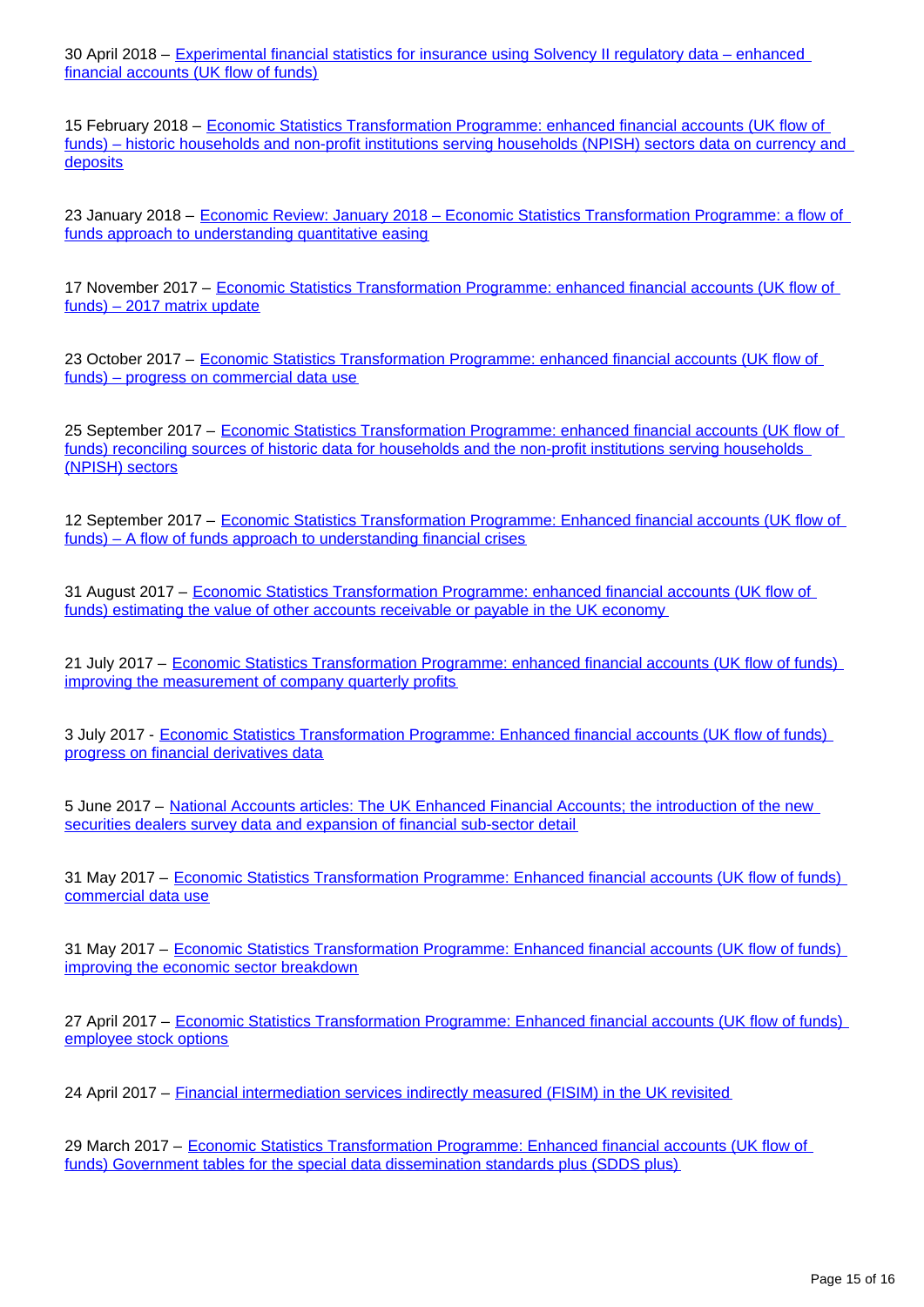30 April 2018 – [Experimental financial statistics for insurance using Solvency II regulatory data – enhanced](https://www.ons.gov.uk/economy/nationalaccounts/uksectoraccounts/articles/experimentalfinancialstatisticsforinsuranceusingsolvencyiiregulatorydataenhancedfinancialaccountsukflowoffunds/2018-04-30)  [financial accounts \(UK flow of funds\)](https://www.ons.gov.uk/economy/nationalaccounts/uksectoraccounts/articles/experimentalfinancialstatisticsforinsuranceusingsolvencyiiregulatorydataenhancedfinancialaccountsukflowoffunds/2018-04-30)

15 February 2018 – [Economic Statistics Transformation Programme: enhanced financial accounts \(UK flow of](https://www.ons.gov.uk/economy/nationalaccounts/uksectoraccounts/articles/economicstatisticstransformationprogramme/historichouseholdsandnonprofitinstitutionsservinghouseholdsnpishsectorsdataoncurrencyanddeposits)  [funds\) – historic households and non-profit institutions serving households \(NPISH\) sectors data on currency and](https://www.ons.gov.uk/economy/nationalaccounts/uksectoraccounts/articles/economicstatisticstransformationprogramme/historichouseholdsandnonprofitinstitutionsservinghouseholdsnpishsectorsdataoncurrencyanddeposits)  **[deposits](https://www.ons.gov.uk/economy/nationalaccounts/uksectoraccounts/articles/economicstatisticstransformationprogramme/historichouseholdsandnonprofitinstitutionsservinghouseholdsnpishsectorsdataoncurrencyanddeposits)** 

23 January 2018 – [Economic Review: January 2018 – Economic Statistics Transformation Programme: a flow of](https://www.ons.gov.uk/economy/nationalaccounts/uksectoraccounts/articles/economicreview/january2018#economic-statistics-transformation-programme-a-flow-of-funds-approach-to-understanding-quantitative-easing)  [funds approach to understanding quantitative easing](https://www.ons.gov.uk/economy/nationalaccounts/uksectoraccounts/articles/economicreview/january2018#economic-statistics-transformation-programme-a-flow-of-funds-approach-to-understanding-quantitative-easing)

17 November 2017 – [Economic Statistics Transformation Programme: enhanced financial accounts \(UK flow of](https://www.ons.gov.uk/economy/nationalaccounts/uksectoraccounts/articles/economicstatisticstransformationprogramme/enhancedfinancialaccountsukflowoffundsexperimentalbalancesheetstatistics1997to2016)  [funds\) – 2017 matrix update](https://www.ons.gov.uk/economy/nationalaccounts/uksectoraccounts/articles/economicstatisticstransformationprogramme/enhancedfinancialaccountsukflowoffundsexperimentalbalancesheetstatistics1997to2016)

23 October 2017 – [Economic Statistics Transformation Programme: enhanced financial accounts \(UK flow of](https://www.ons.gov.uk/economy/nationalaccounts/uksectoraccounts/articles/economicstatisticstransformationprogramme/enhancedfinancialaccountsukflowoffundsprogressoncommercialdatause)  [funds\) – progress on commercial data use](https://www.ons.gov.uk/economy/nationalaccounts/uksectoraccounts/articles/economicstatisticstransformationprogramme/enhancedfinancialaccountsukflowoffundsprogressoncommercialdatause)

25 September 2017 – [Economic Statistics Transformation Programme: enhanced financial accounts \(UK flow of](https://www.ons.gov.uk/economy/nationalaccounts/uksectoraccounts/articles/economicstatisticstransformationprogramme/enhancedfinancialaccountsukflowoffundsreconcilingsourcesofhistoricdataforthehouseholdsandthenonprofitinstitutionsservinghouseholdsnpishsectors)  [funds\) reconciling sources of historic data for households and the non-profit institutions serving households](https://www.ons.gov.uk/economy/nationalaccounts/uksectoraccounts/articles/economicstatisticstransformationprogramme/enhancedfinancialaccountsukflowoffundsreconcilingsourcesofhistoricdataforthehouseholdsandthenonprofitinstitutionsservinghouseholdsnpishsectors)  [\(NPISH\) sectors](https://www.ons.gov.uk/economy/nationalaccounts/uksectoraccounts/articles/economicstatisticstransformationprogramme/enhancedfinancialaccountsukflowoffundsreconcilingsourcesofhistoricdataforthehouseholdsandthenonprofitinstitutionsservinghouseholdsnpishsectors)

12 September 2017 – [Economic Statistics Transformation Programme: Enhanced financial accounts \(UK flow of](https://www.ons.gov.uk/economy/nationalaccounts/uksectoraccounts/articles/economicstatisticstransformationprogramme/enhancedfinancialaccountsukflowoffundsaflowoffundsapproachtounderstandingfinancialcrises)  [funds\) – A flow of funds approach to understanding financial crises](https://www.ons.gov.uk/economy/nationalaccounts/uksectoraccounts/articles/economicstatisticstransformationprogramme/enhancedfinancialaccountsukflowoffundsaflowoffundsapproachtounderstandingfinancialcrises)

31 August 2017 – [Economic Statistics Transformation Programme: enhanced financial accounts \(UK flow of](https://www.ons.gov.uk/economy/nationalaccounts/uksectoraccounts/articles/economicstatisticstransformationprogramme/enhancedfinancialaccountsukflowoffundsestimatingthevalueofotheraccountsreceivableorpayableintheukeconomy)  [funds\) estimating the value of other accounts receivable or payable in the UK economy](https://www.ons.gov.uk/economy/nationalaccounts/uksectoraccounts/articles/economicstatisticstransformationprogramme/enhancedfinancialaccountsukflowoffundsestimatingthevalueofotheraccountsreceivableorpayableintheukeconomy)

21 July 2017 – Economic Statistics Transformation Programme: enhanced financial accounts (UK flow of funds) [improving the measurement of company quarterly profits](https://www.ons.gov.uk/economy/nationalaccounts/uksectoraccounts/articles/economicstatisticstransformationprogramme/enhancedfinancialaccountsukflowoffundsimprovingthemeasurementofcompanyquarterlyprofit)

3 July 2017 - [Economic Statistics Transformation Programme: Enhanced financial accounts \(UK flow of funds\)](https://www.ons.gov.uk/economy/nationalaccounts/uksectoraccounts/articles/economicstatisticstransformationprogramme/enhancedfinancialaccountsukflowoffundsprogressonfinancialderivativesdata)  [progress on financial derivatives data](https://www.ons.gov.uk/economy/nationalaccounts/uksectoraccounts/articles/economicstatisticstransformationprogramme/enhancedfinancialaccountsukflowoffundsprogressonfinancialderivativesdata)

5 June 2017 – [National Accounts articles: The UK Enhanced Financial Accounts; the introduction of the new](https://www.ons.gov.uk/economy/nationalaccounts/uksectoraccounts/articles/nationalaccountsarticles/theukenhancedfinancialaccountstheintroductionofthenewsecuritiesdealerssurveydataandexpansionoffinancialsubsectordetail)  [securities dealers survey data and expansion of financial sub-sector detail](https://www.ons.gov.uk/economy/nationalaccounts/uksectoraccounts/articles/nationalaccountsarticles/theukenhancedfinancialaccountstheintroductionofthenewsecuritiesdealerssurveydataandexpansionoffinancialsubsectordetail)

31 May 2017 – [Economic Statistics Transformation Programme: Enhanced financial accounts \(UK flow of funds\)](https://www.ons.gov.uk/economy/nationalaccounts/uksectoraccounts/articles/economicstatisticstransformationprogramme/enhancedfinancialaccountsukflowoffundsplansforcommercialdatause)  [commercial data use](https://www.ons.gov.uk/economy/nationalaccounts/uksectoraccounts/articles/economicstatisticstransformationprogramme/enhancedfinancialaccountsukflowoffundsplansforcommercialdatause)

31 May 2017 – [Economic Statistics Transformation Programme: Enhanced financial accounts \(UK flow of funds\)](https://www.ons.gov.uk/economy/nationalaccounts/uksectoraccounts/articles/economicstatisticstransformationprogramme/enhancedfinancialaccountsukflowoffundsimprovingtheeconomicsectorbreakdown)  [improving the economic sector breakdown](https://www.ons.gov.uk/economy/nationalaccounts/uksectoraccounts/articles/economicstatisticstransformationprogramme/enhancedfinancialaccountsukflowoffundsimprovingtheeconomicsectorbreakdown)

27 April 2017 – [Economic Statistics Transformation Programme: Enhanced financial accounts \(UK flow of funds\)](https://www.ons.gov.uk/economy/nationalaccounts/uksectoraccounts/articles/economicstatisticstransformationprogramme/enhancedfinancialaccountsukflowoffundsemployeestockoptions)  [employee stock options](https://www.ons.gov.uk/economy/nationalaccounts/uksectoraccounts/articles/economicstatisticstransformationprogramme/enhancedfinancialaccountsukflowoffundsemployeestockoptions)

24 April 2017 – [Financial intermediation services indirectly measured \(FISIM\) in the UK revisited](https://www.ons.gov.uk/economy/grossdomesticproductgdp/articles/financialintermediationservicesindirectlymeasuredfisimintheukrevisited/2017-04-24)

29 March 2017 – [Economic Statistics Transformation Programme: Enhanced financial accounts \(UK flow of](https://www.ons.gov.uk/economy/nationalaccounts/uksectoraccounts/articles/economicstatisticstransformationprogramme/enhancedfinancialaccountsukflowoffundsgovernmenttablesforthespecialdatadisseminationstandardsplussdds)  [funds\) Government tables for the special data dissemination standards plus \(SDDS plus\)](https://www.ons.gov.uk/economy/nationalaccounts/uksectoraccounts/articles/economicstatisticstransformationprogramme/enhancedfinancialaccountsukflowoffundsgovernmenttablesforthespecialdatadisseminationstandardsplussdds)